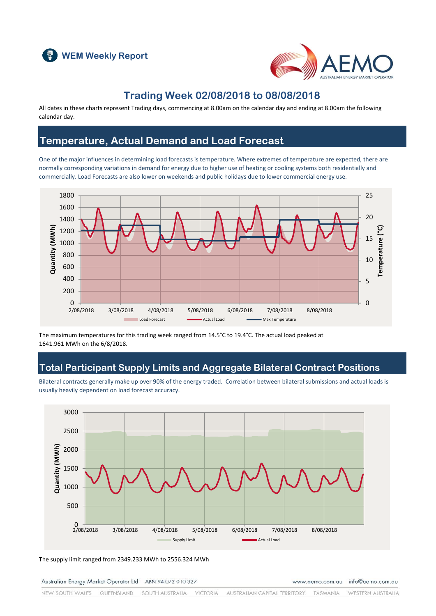



### **Trading Week 02/08/2018 to 08/08/2018**

All dates in these charts represent Trading days, commencing at 8.00am on the calendar day and ending at 8.00am the following calendar day.

### **Temperature, Actual Demand and Load Forecast**

One of the major influences in determining load forecasts is temperature. Where extremes of temperature are expected, there are normally corresponding variations in demand for energy due to higher use of heating or cooling systems both residentially and commercially. Load Forecasts are also lower on weekends and public holidays due to lower commercial energy use.



The maximum temperatures for this trading week ranged from 14.5°C to 19.4°C. The actual load peaked at 1641.961 MWh on the 6/8/2018.

# **Total Participant Supply Limits and Aggregate Bilateral Contract Positions**

Bilateral contracts generally make up over 90% of the energy traded. Correlation between bilateral submissions and actual loads is usually heavily dependent on load forecast accuracy.



The supply limit ranged from 2349.233 MWh to 2556.324 MWh

Australian Energy Market Operator Ltd ABN 94 072 010 327

www.aemo.com.au info@aemo.com.au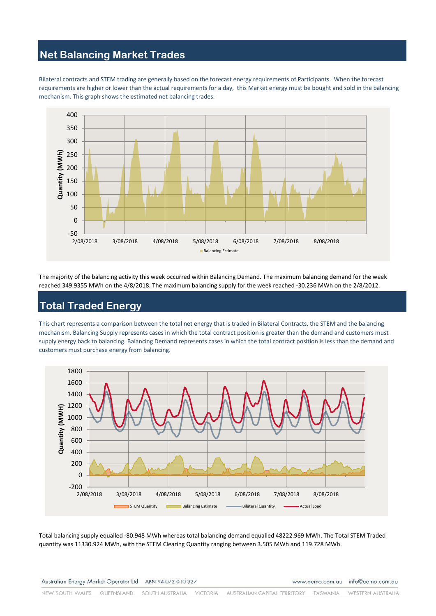### **Net Balancing Market Trades**

Bilateral contracts and STEM trading are generally based on the forecast energy requirements of Participants. When the forecast requirements are higher or lower than the actual requirements for a day, this Market energy must be bought and sold in the balancing mechanism. This graph shows the estimated net balancing trades.



The majority of the balancing activity this week occurred within Balancing Demand. The maximum balancing demand for the week reached 349.9355 MWh on the 4/8/2018. The maximum balancing supply for the week reached -30.236 MWh on the 2/8/2012.

# **Total Traded Energy**

This chart represents a comparison between the total net energy that is traded in Bilateral Contracts, the STEM and the balancing mechanism. Balancing Supply represents cases in which the total contract position is greater than the demand and customers must supply energy back to balancing. Balancing Demand represents cases in which the total contract position is less than the demand and customers must purchase energy from balancing.



Total balancing supply equalled -80.948 MWh whereas total balancing demand equalled 48222.969 MWh. The Total STEM Traded quantity was 11330.924 MWh, with the STEM Clearing Quantity ranging between 3.505 MWh and 119.728 MWh.

www.aemo.com.au info@aemo.com.au